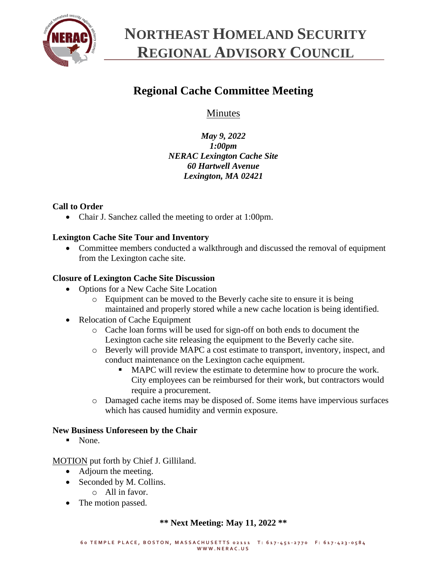

# **NORTHEAST HOMELAND SECURITY REGIONAL ADVISORY COUNCIL**

# **Regional Cache Committee Meeting**

**Minutes** 

*May 9, 2022 1:00pm NERAC Lexington Cache Site 60 Hartwell Avenue Lexington, MA 02421*

## **Call to Order**

• Chair J. Sanchez called the meeting to order at 1:00pm.

## **Lexington Cache Site Tour and Inventory**

• Committee members conducted a walkthrough and discussed the removal of equipment from the Lexington cache site.

### **Closure of Lexington Cache Site Discussion**

- Options for a New Cache Site Location
	- o Equipment can be moved to the Beverly cache site to ensure it is being maintained and properly stored while a new cache location is being identified.
- Relocation of Cache Equipment
	- o Cache loan forms will be used for sign-off on both ends to document the Lexington cache site releasing the equipment to the Beverly cache site.
	- o Beverly will provide MAPC a cost estimate to transport, inventory, inspect, and conduct maintenance on the Lexington cache equipment.
		- MAPC will review the estimate to determine how to procure the work. City employees can be reimbursed for their work, but contractors would require a procurement.
	- o Damaged cache items may be disposed of. Some items have impervious surfaces which has caused humidity and vermin exposure.

### **New Business Unforeseen by the Chair**

■ None.

MOTION put forth by Chief J. Gilliland.

- Adjourn the meeting.
- Seconded by M. Collins.
	- $\circ$  All in favor.
- The motion passed.

### **\*\* Next Meeting: May 11, 2022 \*\***